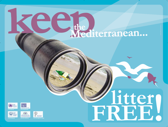